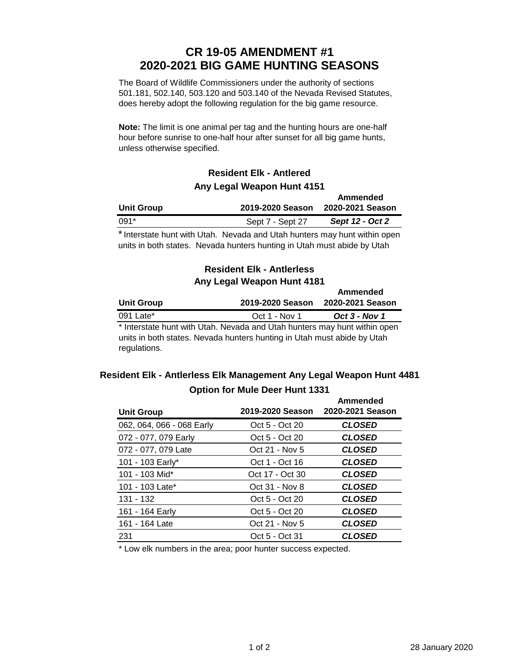# **CR 19-05 AMENDMENT #1 2020-2021 BIG GAME HUNTING SEASONS**

The Board of Wildlife Commissioners under the authority of sections 501.181, 502.140, 503.120 and 503.140 of the Nevada Revised Statutes, does hereby adopt the following regulation for the big game resource.

**Note:** The limit is one animal per tag and the hunting hours are one-half hour before sunrise to one-half hour after sunset for all big game hunts, unless otherwise specified.

# **Resident Elk - Antlered Any Legal Weapon Hunt 4151**

| $F(x)$ Legal Weapon Hant $\tau(x)$<br>Ammended |                  |                  |
|------------------------------------------------|------------------|------------------|
| <b>Unit Group</b>                              | 2019-2020 Season | 2020-2021 Season |
| 091*                                           | Sept 7 - Sept 27 | Sept 12 - Oct 2  |

\*Interstate hunt with Utah. Nevada and Utah hunters may hunt within open units in both states. Nevada hunters hunting in Utah must abide by Utah

### **Resident Elk - Antlerless Any Legal Weapon Hunt 4181**

| <b>Unit Group</b> | 2019-2020 Season | Ammended<br>2020-2021 Season |
|-------------------|------------------|------------------------------|
| 091 Late*         | $Oct 1 - Nov 1$  | <b>Oct 3 - Nov 1</b>         |
|                   |                  |                              |

\* Interstate hunt with Utah. Nevada and Utah hunters may hunt within open units in both states. Nevada hunters hunting in Utah must abide by Utah regulations.

# **Resident Elk - Antlerless Elk Management Any Legal Weapon Hunt 4481**

#### **Option for Mule Deer Hunt 1331**

**Ammended**

| <b>Unit Group</b>         | 2019-2020 Season | Ammenaea<br>2020-2021 Season |
|---------------------------|------------------|------------------------------|
| 062, 064, 066 - 068 Early | Oct 5 - Oct 20   | <b>CLOSED</b>                |
| 072 - 077, 079 Early      | Oct 5 - Oct 20   | <b>CLOSED</b>                |
| 072 - 077, 079 Late       | Oct 21 - Nov 5   | <b>CLOSED</b>                |
| 101 - 103 Early*          | Oct 1 - Oct 16   | <b>CLOSED</b>                |
| 101 - 103 Mid*            | Oct 17 - Oct 30  | <b>CLOSED</b>                |
| 101 - 103 Late*           | Oct 31 - Nov 8   | <b>CLOSED</b>                |
| 131 - 132                 | Oct 5 - Oct 20   | <b>CLOSED</b>                |
| 161 - 164 Early           | Oct 5 - Oct 20   | <b>CLOSED</b>                |
| 161 - 164 Late            | Oct 21 - Nov 5   | <b>CLOSED</b>                |
| 231                       | Oct 5 - Oct 31   | <b>CLOSED</b>                |

\* Low elk numbers in the area; poor hunter success expected.